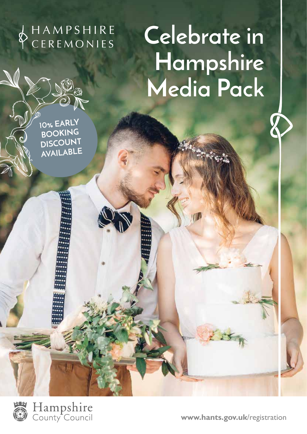**CEREMONIES** 

# Celebrate in **Hampshire Media Pack**

**10% EARLY BOOKING DISCOUNT AVAILABLE**



Hampshire<br>County Council

**www.hants.gov.uk**/registration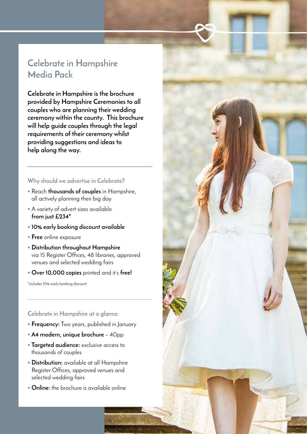## **Celebrate in Hampshire Media Pack**

**Celebrate in Hampshire is the brochure provided by Hampshire Ceremonies to all couples who are planning their wedding ceremony within the county. This brochure will help guide couples through the legal requirements of their ceremony whilst providing suggestions and ideas to help along the way.** 

#### **Why should we advertise in Celebrate?**

- Reach **thousands of couples** in Hampshire, all actively planning their big day
- A variety of advert sizes available **from just £234\***
- **10% early booking discount available**
- **Free** online exposure
- **Distribution throughout Hampshire** via 15 Register Offices, 48 libraries, approved venues and selected wedding fairs
- **Over 10,000 copies** printed and it's **free!**

\*includes 10% early booking discount

### **Celebrate in Hampshire at a glance:**

- **Frequency:** Two years, published in January
- **A4 modern, unique brochure**  40pp
- **Targeted audience:** exclusive access to thousands of couples
- **Distribution:** available at all Hampshire Register Offices, approved venues and selected wedding fairs
- **Online:** the brochure is available online